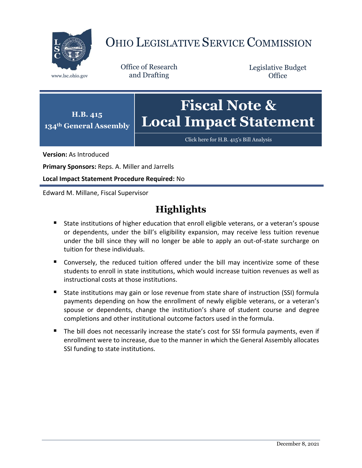

# OHIO LEGISLATIVE SERVICE COMMISSION

Office of Research www.lsc.ohio.gov and Drafting

Legislative Budget **Office** 



[Click here for H.B. 415](https://www.legislature.ohio.gov/legislation/legislation-documents?id=GA134-HB-415)'s Bill Analysis

**Version:** As Introduced

**Primary Sponsors:** Reps. A. Miller and Jarrells

**Local Impact Statement Procedure Required:** No

Edward M. Millane, Fiscal Supervisor

# **Highlights**

- **State institutions of higher education that enroll eligible veterans, or a veteran's spouse** or dependents, under the bill's eligibility expansion, may receive less tuition revenue under the bill since they will no longer be able to apply an out-of-state surcharge on tuition for these individuals.
- Conversely, the reduced tuition offered under the bill may incentivize some of these students to enroll in state institutions, which would increase tuition revenues as well as instructional costs at those institutions.
- State institutions may gain or lose revenue from state share of instruction (SSI) formula payments depending on how the enrollment of newly eligible veterans, or a veteran's spouse or dependents, change the institution's share of student course and degree completions and other institutional outcome factors used in the formula.
- The bill does not necessarily increase the state's cost for SSI formula payments, even if enrollment were to increase, due to the manner in which the General Assembly allocates SSI funding to state institutions.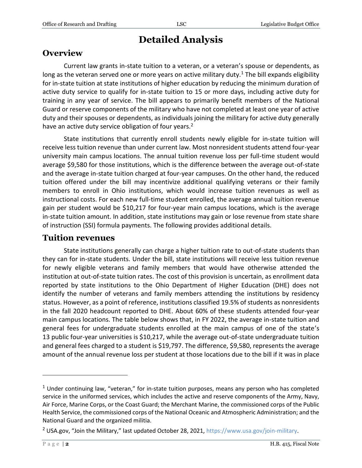# **Detailed Analysis**

### **Overview**

Current law grants in-state tuition to a veteran, or a veteran's spouse or dependents, as long as the veteran served one or more years on active military duty.<sup>1</sup> The bill expands eligibility for in-state tuition at state institutions of higher education by reducing the minimum duration of active duty service to qualify for in-state tuition to 15 or more days, including active duty for training in any year of service. The bill appears to primarily benefit members of the National Guard or reserve components of the military who have not completed at least one year of active duty and their spouses or dependents, as individuals joining the military for active duty generally have an active duty service obligation of four years.<sup>2</sup>

State institutions that currently enroll students newly eligible for in-state tuition will receive less tuition revenue than under current law. Most nonresident students attend four-year university main campus locations. The annual tuition revenue loss per full-time student would average \$9,580 for those institutions, which is the difference between the average out-of-state and the average in-state tuition charged at four-year campuses. On the other hand, the reduced tuition offered under the bill may incentivize additional qualifying veterans or their family members to enroll in Ohio institutions, which would increase tuition revenues as well as instructional costs. For each new full-time student enrolled, the average annual tuition revenue gain per student would be \$10,217 for four-year main campus locations, which is the average in-state tuition amount. In addition, state institutions may gain or lose revenue from state share of instruction (SSI) formula payments. The following provides additional details.

### **Tuition revenues**

State institutions generally can charge a higher tuition rate to out-of-state students than they can for in-state students. Under the bill, state institutions will receive less tuition revenue for newly eligible veterans and family members that would have otherwise attended the institution at out-of-state tuition rates. The cost of this provision is uncertain, as enrollment data reported by state institutions to the Ohio Department of Higher Education (DHE) does not identify the number of veterans and family members attending the institutions by residency status. However, as a point of reference, institutions classified 19.5% of students as nonresidents in the fall 2020 headcount reported to DHE. About 60% of these students attended four-year main campus locations. The table below shows that, in FY 2022, the average in-state tuition and general fees for undergraduate students enrolled at the main campus of one of the state's 13 public four-year universities is \$10,217, while the average out-of-state undergraduate tuition and general fees charged to a student is \$19,797. The difference, \$9,580, represents the average amount of the annual revenue loss per student at those locations due to the bill if it was in place

 $\overline{a}$ 

 $<sup>1</sup>$  Under continuing law, "veteran," for in-state tuition purposes, means any person who has completed</sup> service in the uniformed services, which includes the active and reserve components of the Army, Navy, Air Force, Marine Corps, or the Coast Guard; the Merchant Marine, the commissioned corps of the Public Health Service, the commissioned corps of the National Oceanic and Atmospheric Administration; and the National Guard and the organized militia.

<sup>&</sup>lt;sup>2</sup> USA.gov, "Join the Military," last updated October 28, 2021, [https://www.usa.gov/join-military.](https://www.usa.gov/join-military)